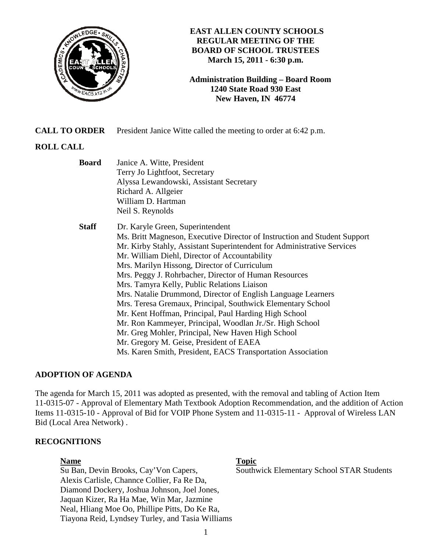

## **EAST ALLEN COUNTY SCHOOLS REGULAR MEETING OF THE BOARD OF SCHOOL TRUSTEES March 15, 2011 - 6:30 p.m.**

**Administration Building – Board Room 1240 State Road 930 East New Haven, IN 46774**

**CALL TO ORDER** President Janice Witte called the meeting to order at 6:42 p.m.

# **ROLL CALL**

| <b>Board</b> | Janice A. Witte, President<br>Terry Jo Lightfoot, Secretary<br>Alyssa Lewandowski, Assistant Secretary<br>Richard A. Allgeier<br>William D. Hartman<br>Neil S. Reynolds                                                                                                                                                                                                                                                                                                                                                                                                                                                                                                                                                                                                                                             |
|--------------|---------------------------------------------------------------------------------------------------------------------------------------------------------------------------------------------------------------------------------------------------------------------------------------------------------------------------------------------------------------------------------------------------------------------------------------------------------------------------------------------------------------------------------------------------------------------------------------------------------------------------------------------------------------------------------------------------------------------------------------------------------------------------------------------------------------------|
| <b>Staff</b> | Dr. Karyle Green, Superintendent<br>Ms. Britt Magneson, Executive Director of Instruction and Student Support<br>Mr. Kirby Stahly, Assistant Superintendent for Administrative Services<br>Mr. William Diehl, Director of Accountability<br>Mrs. Marilyn Hissong, Director of Curriculum<br>Mrs. Peggy J. Rohrbacher, Director of Human Resources<br>Mrs. Tamyra Kelly, Public Relations Liaison<br>Mrs. Natalie Drummond, Director of English Language Learners<br>Mrs. Teresa Gremaux, Principal, Southwick Elementary School<br>Mr. Kent Hoffman, Principal, Paul Harding High School<br>Mr. Ron Kammeyer, Principal, Woodlan Jr./Sr. High School<br>Mr. Greg Mohler, Principal, New Haven High School<br>Mr. Gregory M. Geise, President of EAEA<br>Ms. Karen Smith, President, EACS Transportation Association |

# **ADOPTION OF AGENDA**

The agenda for March 15, 2011 was adopted as presented, with the removal and tabling of Action Item 11-0315-07 - Approval of Elementary Math Textbook Adoption Recommendation, and the addition of Action Items 11-0315-10 - Approval of Bid for VOIP Phone System and 11-0315-11 - Approval of Wireless LAN Bid (Local Area Network) .

# **RECOGNITIONS**

Su Ban, Devin Brooks, Cay'Von Capers, Southwick Elementary School STAR Students Alexis Carlisle, Channce Collier, Fa Re Da, Diamond Dockery, Joshua Johnson, Joel Jones, Jaquan Kizer, Ra Ha Mae, Win Mar, Jazmine Neal, Hliang Moe Oo, Phillipe Pitts, Do Ke Ra, Tiayona Reid, Lyndsey Turley, and Tasia Williams

#### **Name Topic**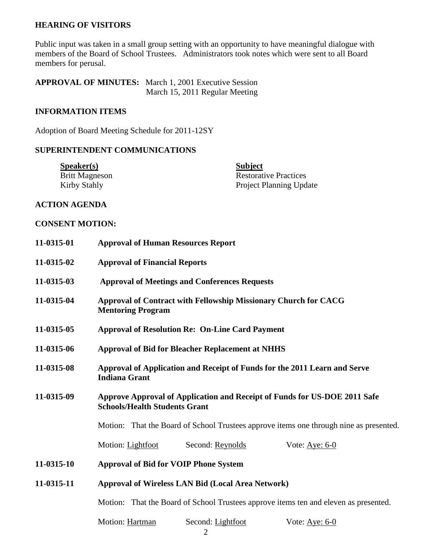## **HEARING OF VISITORS**

Public input was taken in a small group setting with an opportunity to have meaningful dialogue with members of the Board of School Trustees. Administrators took notes which were sent to all Board members for perusal.

**APPROVAL OF MINUTES:** March 1, 2001 Executive Session March 15, 2011 Regular Meeting

## **INFORMATION ITEMS**

Adoption of Board Meeting Schedule for 2011-12SY

## **SUPERINTENDENT COMMUNICATIONS**

| S <sub>p</sub> e <sub>aker(s)</sub> | <b>Subject</b>                 |
|-------------------------------------|--------------------------------|
| <b>Britt Magneson</b>               | <b>Restorative Practices</b>   |
| Kirby Stahly                        | <b>Project Planning Update</b> |

# **ACTION AGENDA**

#### **CONSENT MOTION:**

| 11-0315-01 | <b>Approval of Human Resources Report</b>                                                                         |  |
|------------|-------------------------------------------------------------------------------------------------------------------|--|
| 11-0315-02 | <b>Approval of Financial Reports</b>                                                                              |  |
| 11-0315-03 | <b>Approval of Meetings and Conferences Requests</b>                                                              |  |
| 11-0315-04 | Approval of Contract with Fellowship Missionary Church for CACG<br><b>Mentoring Program</b>                       |  |
| 11-0315-05 | <b>Approval of Resolution Re: On-Line Card Payment</b>                                                            |  |
| 11-0315-06 | <b>Approval of Bid for Bleacher Replacement at NHHS</b>                                                           |  |
| 11-0315-08 | Approval of Application and Receipt of Funds for the 2011 Learn and Serve<br><b>Indiana Grant</b>                 |  |
| 11-0315-09 | Approve Approval of Application and Receipt of Funds for US-DOE 2011 Safe<br><b>Schools/Health Students Grant</b> |  |
|            | Motion: That the Board of School Trustees approve items one through nine as presented.                            |  |
|            | Motion: Lightfoot<br>Second: Reynolds<br>Vote: Aye: $6-0$                                                         |  |
| 11-0315-10 | <b>Approval of Bid for VOIP Phone System</b>                                                                      |  |
| 11-0315-11 | <b>Approval of Wireless LAN Bid (Local Area Network)</b>                                                          |  |
|            | Motion: That the Board of School Trustees approve items ten and eleven as presented.                              |  |
|            | Motion: Hartman<br>Second: Lightfoot<br>Vote: Aye: $6-0$                                                          |  |